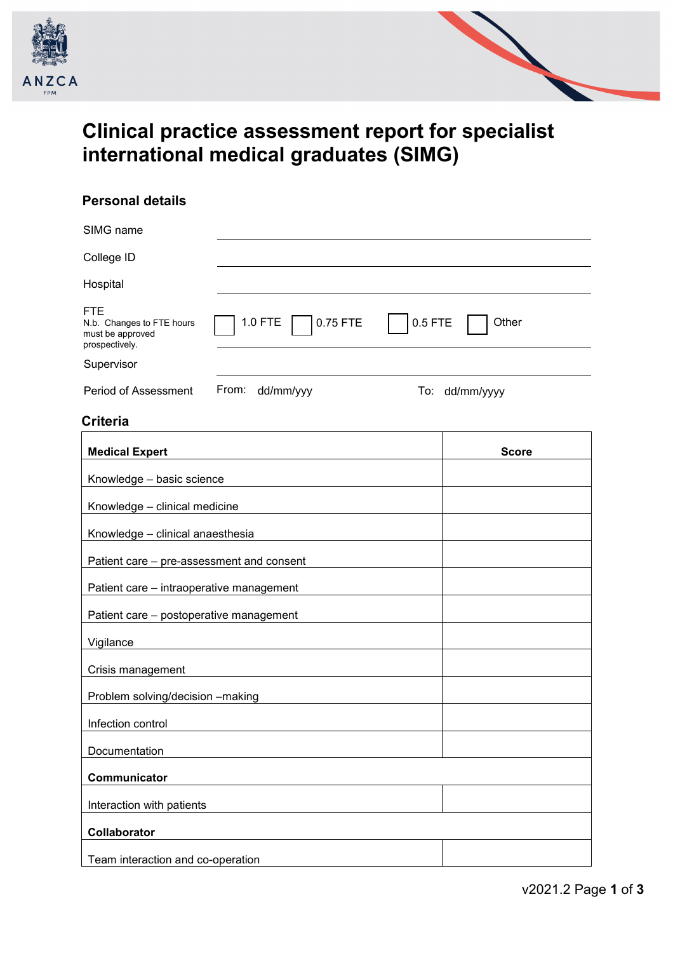



# **Clinical practice assessment report for specialist international medical graduates (SIMG)**

# **Personal details**

| SIMG name                                                                                            |                    |
|------------------------------------------------------------------------------------------------------|--------------------|
| College ID                                                                                           |                    |
| Hospital                                                                                             |                    |
| <b>FTE</b><br>1.0 FTE<br>0.75 FTE<br>N.b. Changes to FTE hours<br>must be approved<br>prospectively. | $0.5$ FTE<br>Other |
| Supervisor                                                                                           |                    |
| From:<br>dd/mm/yyy<br>Period of Assessment                                                           | To: dd/mm/yyyy     |
| <b>Criteria</b>                                                                                      |                    |
| <b>Medical Expert</b>                                                                                | <b>Score</b>       |
| Knowledge - basic science                                                                            |                    |
| Knowledge - clinical medicine                                                                        |                    |
| Knowledge - clinical anaesthesia                                                                     |                    |
| Patient care - pre-assessment and consent                                                            |                    |
| Patient care - intraoperative management                                                             |                    |
| Patient care - postoperative management                                                              |                    |
| Vigilance                                                                                            |                    |
| Crisis management                                                                                    |                    |
| Problem solving/decision -making                                                                     |                    |
| Infection control                                                                                    |                    |
| Documentation                                                                                        |                    |
| Communicator                                                                                         |                    |
| Interaction with patients                                                                            |                    |
| Collaborator                                                                                         |                    |
| Team interaction and co-operation                                                                    |                    |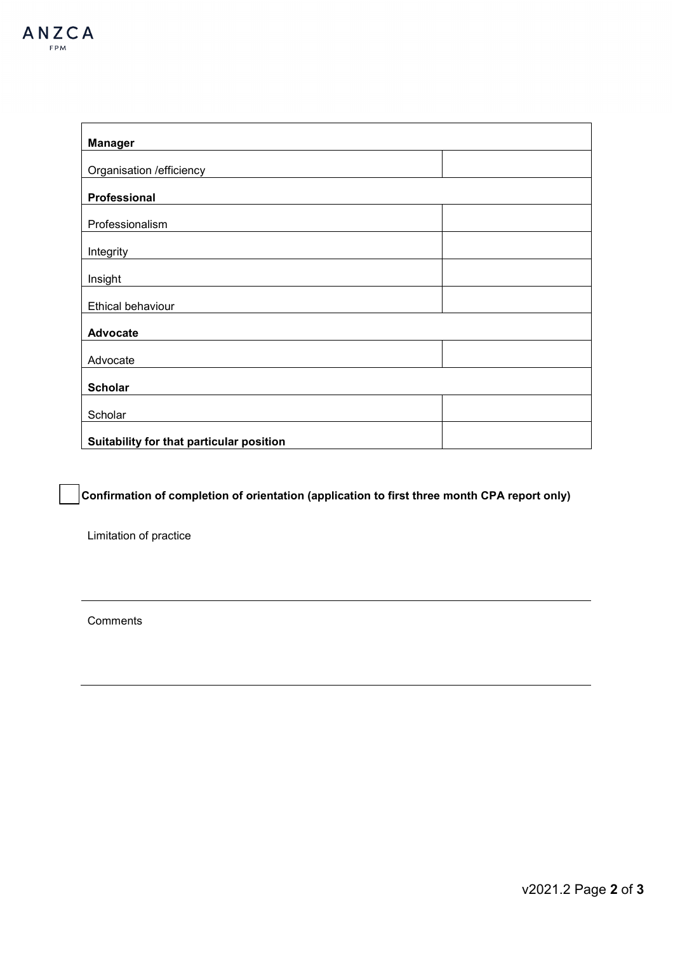| <b>Manager</b>                           |  |  |
|------------------------------------------|--|--|
| Organisation / efficiency                |  |  |
| Professional                             |  |  |
| Professionalism                          |  |  |
| Integrity                                |  |  |
| Insight                                  |  |  |
| Ethical behaviour                        |  |  |
| <b>Advocate</b>                          |  |  |
| Advocate                                 |  |  |
| <b>Scholar</b>                           |  |  |
| Scholar                                  |  |  |
| Suitability for that particular position |  |  |

**Confirmation of completion of orientation (application to first three month CPA report only)** 

Limitation of practice

**Comments**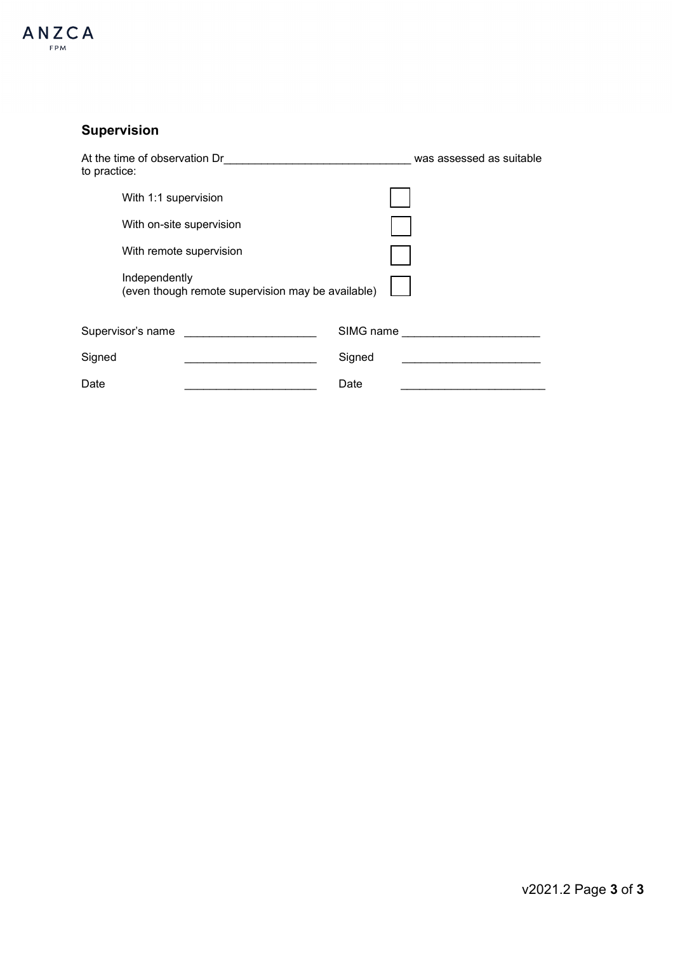

# **Supervision**

| At the time of observation Dr<br>to practice:                      | was assessed as suitable |
|--------------------------------------------------------------------|--------------------------|
| With 1:1 supervision                                               |                          |
| With on-site supervision                                           |                          |
| With remote supervision                                            |                          |
| Independently<br>(even though remote supervision may be available) |                          |
| Supervisor's name                                                  | SIMG name                |
| Signed                                                             | Signed                   |
| Date                                                               | Date                     |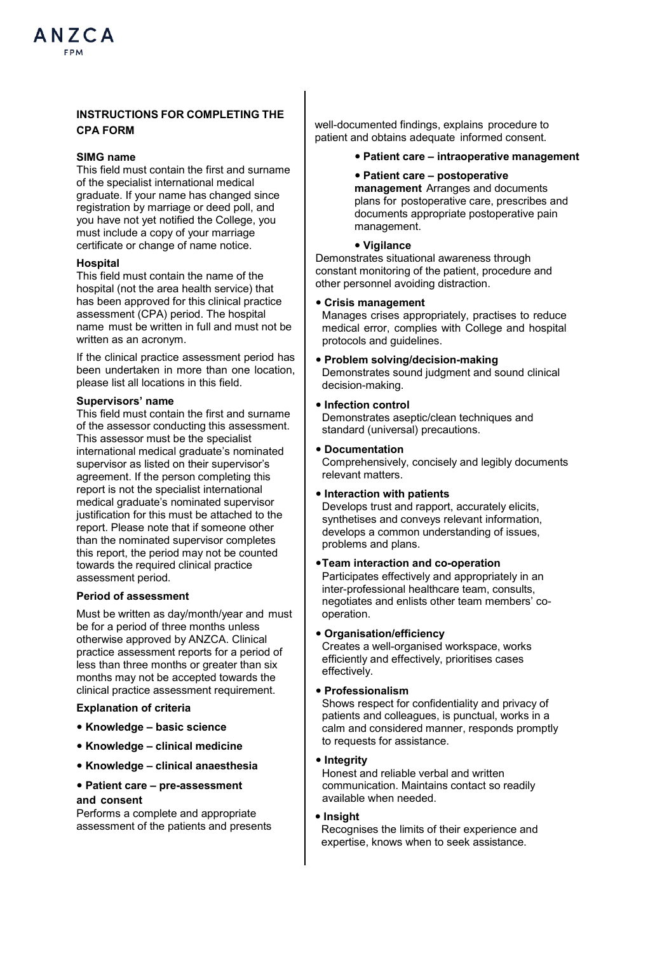# **INSTRUCTIONS FOR COMPLETING THE CPA FORM**

# **SIMG name**

This field must contain the first and surname of the specialist international medical graduate. If your name has changed since registration by marriage or deed poll, and you have not yet notified the College, you must include a copy of your marriage certificate or change of name notice.

#### **Hospital**

This field must contain the name of the hospital (not the area health service) that has been approved for this clinical practice assessment (CPA) period. The hospital name must be written in full and must not be written as an acronym.

If the clinical practice assessment period has been undertaken in more than one location, please list all locations in this field.

#### **Supervisors' name**

This field must contain the first and surname of the assessor conducting this assessment. This assessor must be the specialist international medical graduate's nominated supervisor as listed on their supervisor's agreement. If the person completing this report is not the specialist international medical graduate's nominated supervisor justification for this must be attached to the report. Please note that if someone other than the nominated supervisor completes this report, the period may not be counted towards the required clinical practice assessment period.

# **Period of assessment**

Must be written as day/month/year and must be for a period of three months unless otherwise approved by ANZCA. Clinical practice assessment reports for a period of less than three months or greater than six months may not be accepted towards the clinical practice assessment requirement.

#### **Explanation of criteria**

- **• Knowledge basic science**
- **• Knowledge clinical medicine**
- **• Knowledge clinical anaesthesia**
- **• Patient care pre-assessment and consent**

Performs a complete and appropriate assessment of the patients and presents well-documented findings, explains procedure to patient and obtains adequate informed consent.

- **• Patient care intraoperative management**
- **• Patient care postoperative management** Arranges and documents plans for postoperative care, prescribes and documents appropriate postoperative pain management.

# **• Vigilance**

Demonstrates situational awareness through constant monitoring of the patient, procedure and other personnel avoiding distraction.

#### **• Crisis management**

Manages crises appropriately, practises to reduce medical error, complies with College and hospital protocols and guidelines.

**• Problem solving/decision-making** Demonstrates sound judgment and sound clinical decision-making.

#### **• Infection control**

Demonstrates aseptic/clean techniques and standard (universal) precautions.

**• Documentation**

Comprehensively, concisely and legibly documents relevant matters.

**• Interaction with patients**

Develops trust and rapport, accurately elicits, synthetises and conveys relevant information, develops a common understanding of issues, problems and plans.

## **•Team interaction and co-operation**

Participates effectively and appropriately in an inter-professional healthcare team, consults, negotiates and enlists other team members' cooperation.

## **• Organisation/efficiency**

Creates a well-organised workspace, works efficiently and effectively, prioritises cases effectively.

#### **• Professionalism**

Shows respect for confidentiality and privacy of patients and colleagues, is punctual, works in a calm and considered manner, responds promptly to requests for assistance.

# **• Integrity**

Honest and reliable verbal and written communication. Maintains contact so readily available when needed.

#### **• Insight**

Recognises the limits of their experience and expertise, knows when to seek assistance.